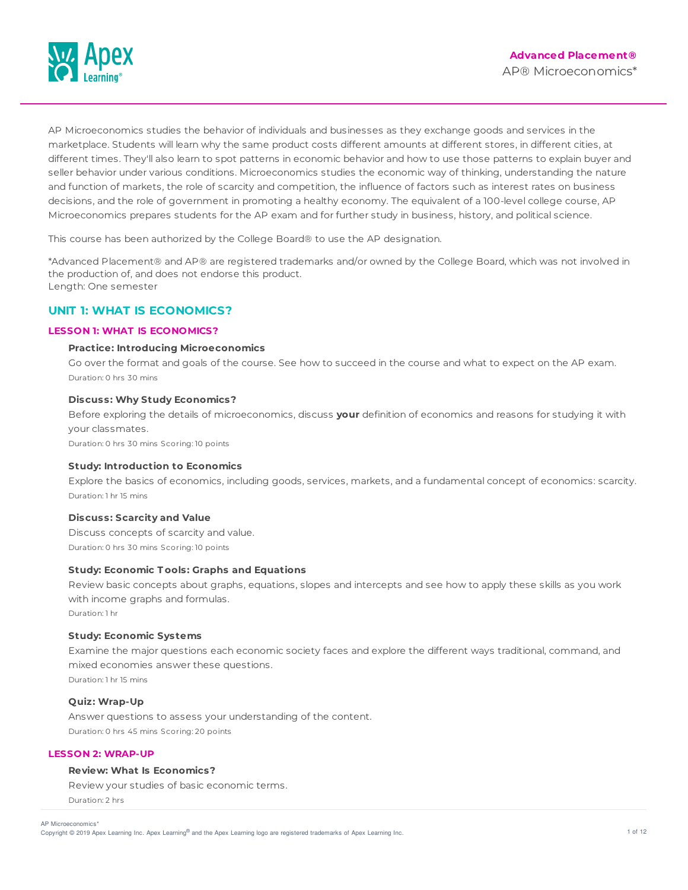

AP Microeconomics studies the behavior of individuals and businesses as they exchange goods and services in the marketplace. Students will learn why the same product costs different amounts at different stores, in different cities, at different times. They'll also learn to spot patterns in economic behavior and how to use those patterns to explain buyer and seller behavior under various conditions. Microeconomics studies the economic way of thinking, understanding the nature and function of markets, the role of scarcity and competition, the influence of factors such as interest rates on business decisions, and the role of government in promoting a healthy economy. The equivalent of a 100-level college course, AP Microeconomics prepares students for the AP exam and for further study in business, history, and political science.

This course has been authorized by the College Board® to use the AP designation.

\*Advanced Placement® and AP® are registered trademarks and/or owned by the College Board, which was not involved in the production of, and does not endorse this product. Length: One semester

# **UNIT 1: WHAT IS ECONOMICS?**

# **LESSON 1: WHAT IS ECONOMICS?**

# **Practice: Introducing Microeconomics**

Go over the format and goals of the course. See how to succeed in the course and what to expect on the AP exam. Duration: 0 hrs 30 mins

# **Discuss: Why Study Economics?**

Before exploring the details of microeconomics, discuss **your** definition of economics and reasons for studying it with your classmates.

Duration: 0 hrs 30 mins Scoring: 10 points

### **Study: Introduction to Economics**

Explore the basics of economics, including goods, services, markets, and a fundamental concept of economics: scarcity. Duration: 1 hr 15 mins

# **Discuss: Scarcity and Value**

Discuss concepts of scarcity and value. Duration: 0 hrs 30 mins Scoring: 10 points

### **Study: Economic T ools: Graphs and Equations**

Review basic concepts about graphs, equations, slopes and intercepts and see how to apply these skills as you work with income graphs and formulas.

Duration: 1 hr

# **Study: Economic Systems**

Examine the major questions each economic society faces and explore the different ways traditional, command, and mixed economies answer these questions.

Duration: 1 hr 15 mins

# **Quiz: Wrap-Up**

Answer questions to assess your understanding of the content. Duration: 0 hrs 45 mins Scoring: 20 points

# **LESSON 2: WRAP-UP**

# **Review: What Is Economics?**

Review your studies of basic economic terms. Duration: 2 hrs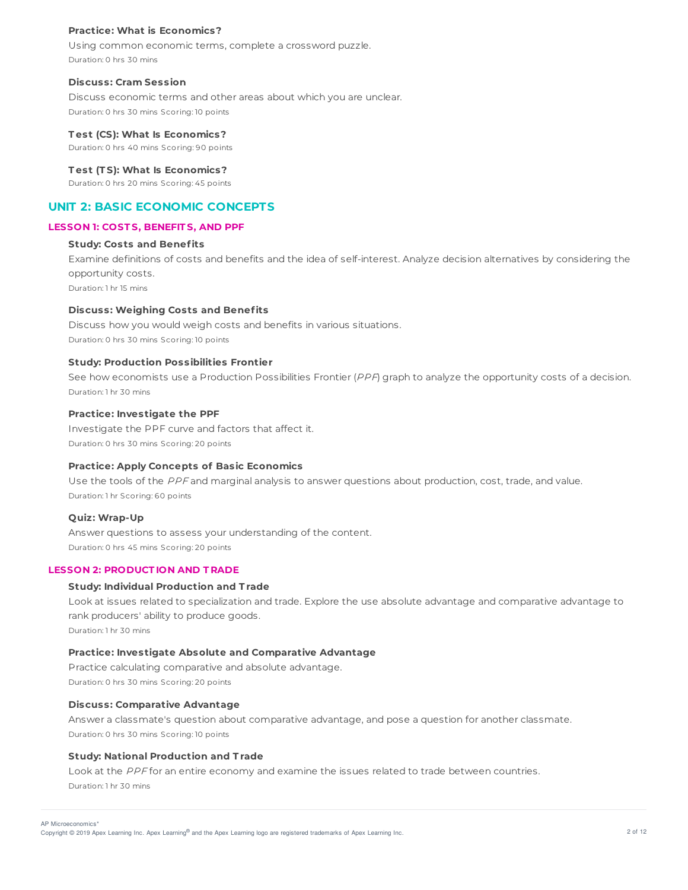### **Practice: What is Economics?**

Using common economic terms, complete a crossword puzzle. Duration: 0 hrs 30 mins

### **Discuss: Cram Session**

Discuss economic terms and other areas about which you are unclear. Duration: 0 hrs 30 mins Scoring: 10 points

### **T est (CS): What Is Economics?**

Duration: 0 hrs 40 mins Scoring: 90 points

#### **T est (T S): What Is Economics?**

Duration: 0 hrs 20 mins Scoring: 45 points

# **UNIT 2: BASIC ECONOMIC CONCEPTS**

### **LESSON 1: COST S, BENEFIT S, AND PPF**

# **Study: Costs and Benefits**

Examine definitions of costs and benefits and the idea of self-interest. Analyze decision alternatives by considering the opportunity costs.

Duration: 1 hr 15 mins

# **Discuss: Weighing Costs and Benefits**

Discuss how you would weigh costs and benefits in various situations. Duration: 0 hrs 30 mins Scoring: 10 points

### **Study: Production Possibilities Frontier**

See how economists use a Production Possibilities Frontier (PPF) graph to analyze the opportunity costs of a decision. Duration: 1 hr 30 mins

# **Practice: Investigate the PPF**

Investigate the PPF curve and factors that affect it. Duration: 0 hrs 30 mins Scoring: 20 points

### **Practice: Apply Concepts of Basic Economics**

Use the tools of the PPF and marginal analysis to answer questions about production, cost, trade, and value. Duration: 1 hr Scoring: 60 points

#### **Quiz: Wrap-Up**

Answer questions to assess your understanding of the content. Duration: 0 hrs 45 mins Scoring: 20 points

### **LESSON 2: PRODUCT ION AND T RADE**

### **Study: Individual Production and T rade**

Look at issues related to specialization and trade. Explore the use absolute advantage and comparative advantage to rank producers' ability to produce goods. Duration: 1 hr 30 mins

### **Practice: Investigate Absolute and Comparative Advantage**

Practice calculating comparative and absolute advantage. Duration: 0 hrs 30 mins Scoring: 20 points

### **Discuss: Comparative Advantage**

Answer a classmate's question about comparative advantage, and pose a question for another classmate. Duration: 0 hrs 30 mins Scoring: 10 points

### **Study: National Production and T rade**

Look at the PPF for an entire economy and examine the issues related to trade between countries. Duration: 1 hr 30 mins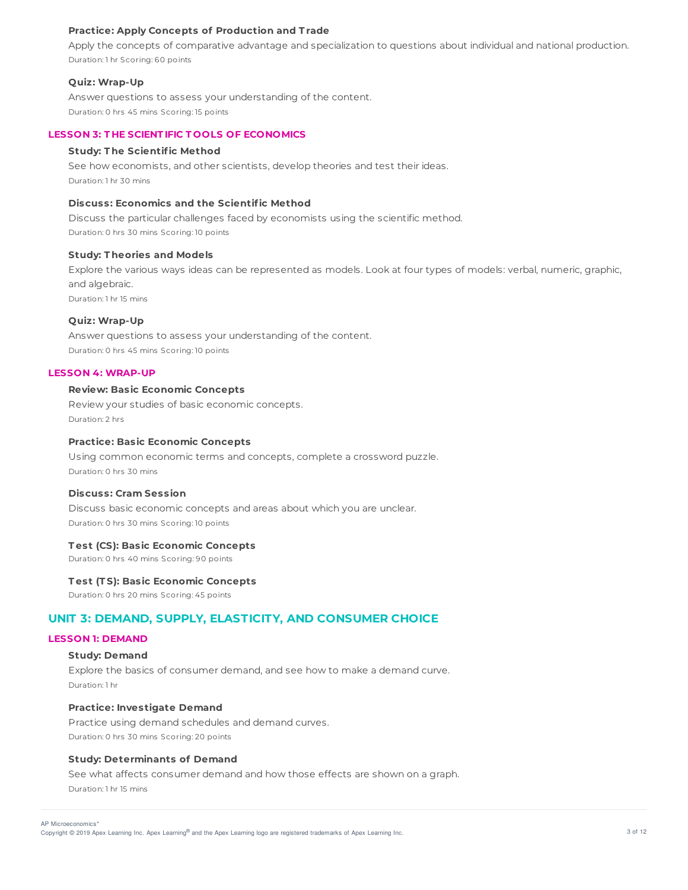### **Practice: Apply Concepts of Production and T rade**

Apply the concepts of comparative advantage and specialization to questions about individual and national production. Duration: 1 hr Scoring: 60 points

### **Quiz: Wrap-Up**

Answer questions to assess your understanding of the content. Duration: 0 hrs 45 mins Scoring: 15 points

### **LESSON 3: T HE SCIENT IFIC T OOLS OF ECONOMICS**

# **Study: T he Scientific Method**

See how economists, and other scientists, develop theories and test their ideas. Duration: 1 hr 30 mins

# **Discuss: Economics and the Scientific Method**

Discuss the particular challenges faced by economists using the scientific method. Duration: 0 hrs 30 mins Scoring: 10 points

### **Study: T heories and Models**

Explore the various ways ideas can be represented as models. Look at four types of models: verbal, numeric, graphic, and algebraic.

Duration: 1 hr 15 mins

# **Quiz: Wrap-Up**

Answer questions to assess your understanding of the content. Duration: 0 hrs 45 mins Scoring: 10 points

### **LESSON 4: WRAP-UP**

# **Review: Basic Economic Concepts**

Review your studies of basic economic concepts. Duration: 2 hrs

### **Practice: Basic Economic Concepts**

Using common economic terms and concepts, complete a crossword puzzle. Duration: 0 hrs 30 mins

# **Discuss: Cram Session**

Discuss basic economic concepts and areas about which you are unclear. Duration: 0 hrs 30 mins Scoring: 10 points

### **T est (CS): Basic Economic Concepts**

Duration: 0 hrs 40 mins Scoring: 90 points

# **T est (T S): Basic Economic Concepts**

Duration: 0 hrs 20 mins Scoring: 45 points

# **UNIT 3: DEMAND, SUPPLY, ELASTICITY, AND CONSUMER CHOICE**

### **LESSON 1: DEMAND**

### **Study: Demand**

Explore the basics of consumer demand, and see how to make a demand curve. Duration: 1 hr

# **Practice: Investigate Demand**

Practice using demand schedules and demand curves. Duration: 0 hrs 30 mins Scoring: 20 points

### **Study: Determinants of Demand**

See what affects consumer demand and how those effects are shown on a graph. Duration: 1 hr 15 mins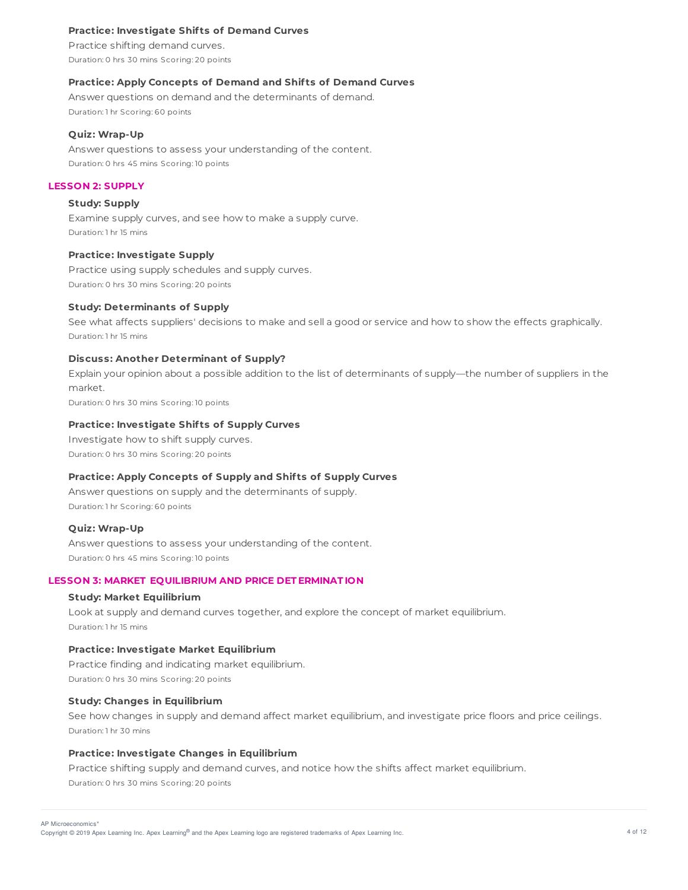# **Practice: Investigate Shif ts of Demand Curves**

Practice shifting demand curves. Duration: 0 hrs 30 mins Scoring: 20 points

### **Practice: Apply Concepts of Demand and Shif ts of Demand Curves**

Answer questions on demand and the determinants of demand. Duration: 1 hr Scoring: 60 points

### **Quiz: Wrap-Up**

Answer questions to assess your understanding of the content. Duration: 0 hrs 45 mins Scoring: 10 points

# **LESSON 2: SUPPLY**

# **Study: Supply**

Examine supply curves, and see how to make a supply curve. Duration: 1 hr 15 mins

# **Practice: Investigate Supply**

Practice using supply schedules and supply curves. Duration: 0 hrs 30 mins Scoring: 20 points

### **Study: Determinants of Supply**

See what affects suppliers' decisions to make and sell a good or service and how to show the effects graphically. Duration: 1 hr 15 mins

# **Discuss: Another Determinant of Supply?**

Explain your opinion about a possible addition to the list of determinants of supply—the number of suppliers in the market.

Duration: 0 hrs 30 mins Scoring: 10 points

# **Practice: Investigate Shif ts of Supply Curves**

Investigate how to shift supply curves. Duration: 0 hrs 30 mins Scoring: 20 points

# **Practice: Apply Concepts of Supply and Shif ts of Supply Curves**

Answer questions on supply and the determinants of supply. Duration: 1 hr Scoring: 60 points

### **Quiz: Wrap-Up**

Answer questions to assess your understanding of the content. Duration: 0 hrs 45 mins Scoring: 10 points

# **LESSON 3: MARKET EQUILIBRIUM AND PRICE DET ERMINAT ION**

#### **Study: Market Equilibrium**

Look at supply and demand curves together, and explore the concept of market equilibrium. Duration: 1 hr 15 mins

# **Practice: Investigate Market Equilibrium**

Practice finding and indicating market equilibrium. Duration: 0 hrs 30 mins Scoring: 20 points

# **Study: Changes in Equilibrium**

See how changes in supply and demand affect market equilibrium, and investigate price floors and price ceilings. Duration: 1 hr 30 mins

# **Practice: Investigate Changes in Equilibrium**

Practice shifting supply and demand curves, and notice how the shifts affect market equilibrium. Duration: 0 hrs 30 mins Scoring: 20 points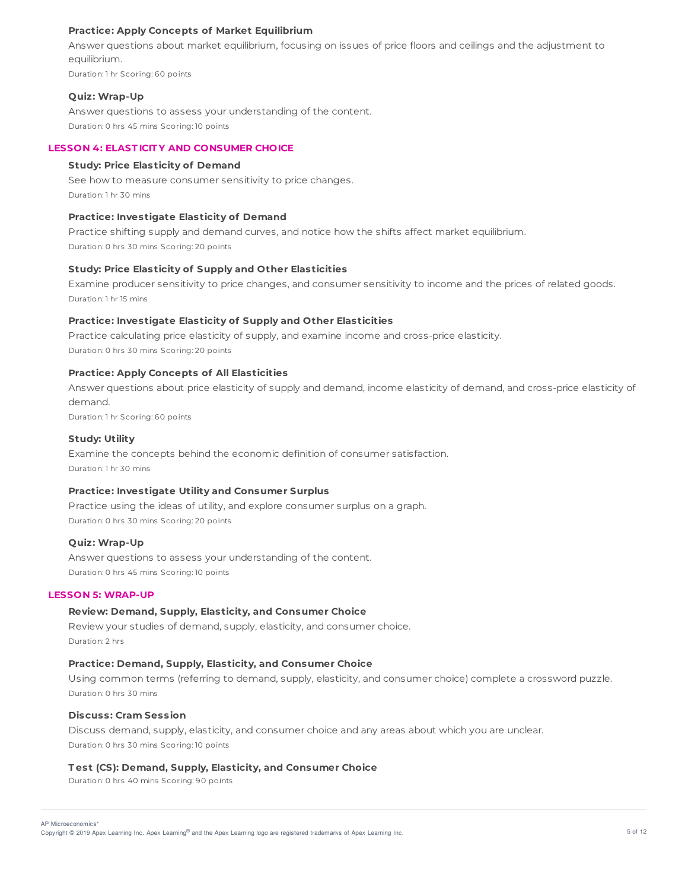# **Practice: Apply Concepts of Market Equilibrium**

Answer questions about market equilibrium, focusing on issues of price floors and ceilings and the adjustment to equilibrium.

Duration: 1 hr Scoring: 60 points

#### **Quiz: Wrap-Up**

Answer questions to assess your understanding of the content. Duration: 0 hrs 45 mins Scoring: 10 points

# **LESSON 4: ELAST ICIT Y AND CONSUMER CHOICE**

# **Study: Price Elasticity of Demand**

See how to measure consumer sensitivity to price changes. Duration: 1 hr 30 mins

### **Practice: Investigate Elasticity of Demand**

Practice shifting supply and demand curves, and notice how the shifts affect market equilibrium. Duration: 0 hrs 30 mins Scoring: 20 points

### **Study: Price Elasticity of Supply and Other Elasticities**

Examine producer sensitivity to price changes, and consumer sensitivity to income and the prices of related goods. Duration: 1 hr 15 mins

# **Practice: Investigate Elasticity of Supply and Other Elasticities**

Practice calculating price elasticity of supply, and examine income and cross-price elasticity. Duration: 0 hrs 30 mins Scoring: 20 points

#### **Practice: Apply Concepts of All Elasticities**

Answer questions about price elasticity of supply and demand, income elasticity of demand, and cross-price elasticity of demand.

Duration: 1 hr Scoring: 60 points

# **Study: Utility**

Examine the concepts behind the economic definition of consumer satisfaction. Duration: 1 hr 30 mins

#### **Practice: Investigate Utility and Consumer Surplus**

Practice using the ideas of utility, and explore consumer surplus on a graph. Duration: 0 hrs 30 mins Scoring: 20 points

# **Quiz: Wrap-Up**

Answer questions to assess your understanding of the content. Duration: 0 hrs 45 mins Scoring: 10 points

# **LESSON 5: WRAP-UP**

### **Review: Demand, Supply, Elasticity, and Consumer Choice**

Review your studies of demand, supply, elasticity, and consumer choice. Duration: 2 hrs

#### **Practice: Demand, Supply, Elasticity, and Consumer Choice**

Using common terms (referring to demand, supply, elasticity, and consumer choice) complete a crossword puzzle. Duration: 0 hrs 30 mins

### **Discuss: Cram Session**

Discuss demand, supply, elasticity, and consumer choice and any areas about which you are unclear. Duration: 0 hrs 30 mins Scoring: 10 points

#### **T est (CS): Demand, Supply, Elasticity, and Consumer Choice**

Duration: 0 hrs 40 mins Scoring: 90 points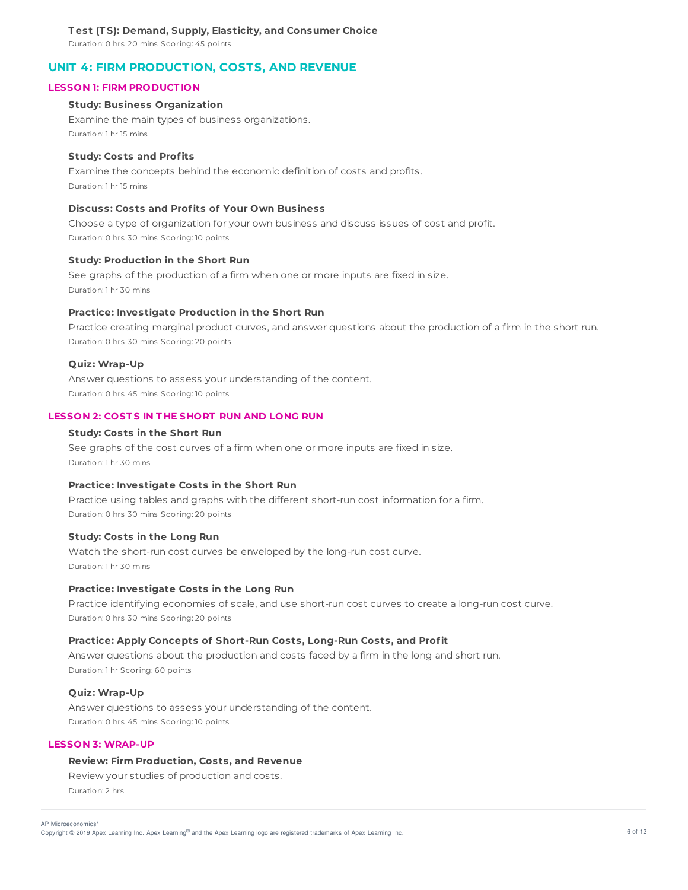Duration: 0 hrs 20 mins Scoring: 45 points

# **UNIT 4: FIRM PRODUCTION, COSTS, AND REVENUE**

# **LESSON 1: FIRM PRODUCT ION**

### **Study: Business Organization**

Examine the main types of business organizations. Duration: 1 hr 15 mins

#### **Study: Costs and Profits**

Examine the concepts behind the economic definition of costs and profits. Duration: 1 hr 15 mins

# **Discuss: Costs and Profits of Your Own Business**

Choose a type of organization for your own business and discuss issues of cost and profit. Duration: 0 hrs 30 mins Scoring: 10 points

### **Study: Production in the Short Run**

See graphs of the production of a firm when one or more inputs are fixed in size. Duration: 1 hr 30 mins

### **Practice: Investigate Production in the Short Run**

Practice creating marginal product curves, and answer questions about the production of a firm in the short run. Duration: 0 hrs 30 mins Scoring: 20 points

#### **Quiz: Wrap-Up**

Answer questions to assess your understanding of the content. Duration: 0 hrs 45 mins Scoring: 10 points

# **LESSON 2: COST S IN T HE SHORT RUN AND LONG RUN**

# **Study: Costs in the Short Run**

See graphs of the cost curves of a firm when one or more inputs are fixed in size. Duration: 1 hr 30 mins

# **Practice: Investigate Costs in the Short Run**

Practice using tables and graphs with the different short-run cost information for a firm. Duration: 0 hrs 30 mins Scoring: 20 points

# **Study: Costs in the Long Run**

Watch the short-run cost curves be enveloped by the long-run cost curve. Duration: 1 hr 30 mins

# **Practice: Investigate Costs in the Long Run**

Practice identifying economies of scale, and use short-run cost curves to create a long-run cost curve. Duration: 0 hrs 30 mins Scoring: 20 points

#### **Practice: Apply Concepts of Short-Run Costs, Long-Run Costs, and Profit**

Answer questions about the production and costs faced by a firm in the long and short run. Duration: 1 hr Scoring: 60 points

# **Quiz: Wrap-Up**

Answer questions to assess your understanding of the content. Duration: 0 hrs 45 mins Scoring: 10 points

# **LESSON 3: WRAP-UP**

# **Review: Firm Production, Costs, and Revenue**

Review your studies of production and costs. Duration: 2 hrs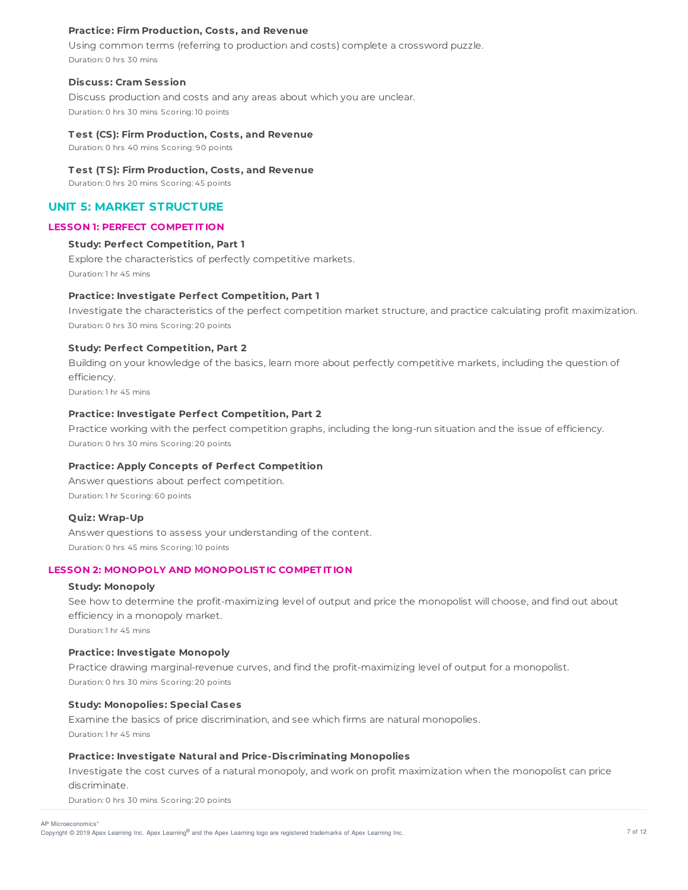# **Practice: Firm Production, Costs, and Revenue**

Using common terms (referring to production and costs) complete a crossword puzzle. Duration: 0 hrs 30 mins

### **Discuss: Cram Session**

Discuss production and costs and any areas about which you are unclear. Duration: 0 hrs 30 mins Scoring: 10 points

#### **T est (CS): Firm Production, Costs, and Revenue**

Duration: 0 hrs 40 mins Scoring: 90 points

#### **T est (T S): Firm Production, Costs, and Revenue**

Duration: 0 hrs 20 mins Scoring: 45 points

# **UNIT 5: MARKET STRUCTURE**

# **LESSON 1: PERFECT COMPET IT ION**

# **Study: Perfect Competition, Part 1**

Explore the characteristics of perfectly competitive markets. Duration: 1 hr 45 mins

# **Practice: Investigate Perfect Competition, Part 1**

Investigate the characteristics of the perfect competition market structure, and practice calculating profit maximization. Duration: 0 hrs 30 mins Scoring: 20 points

# **Study: Perfect Competition, Part 2**

Building on your knowledge of the basics, learn more about perfectly competitive markets, including the question of efficiency.

Duration: 1 hr 45 mins

# **Practice: Investigate Perfect Competition, Part 2**

Practice working with the perfect competition graphs, including the long-run situation and the issue of efficiency. Duration: 0 hrs 30 mins Scoring: 20 points

### **Practice: Apply Concepts of Perfect Competition**

Answer questions about perfect competition. Duration: 1 hr Scoring: 60 points

### **Quiz: Wrap-Up**

Answer questions to assess your understanding of the content. Duration: 0 hrs 45 mins Scoring: 10 points

### **LESSON 2: MONOPOLY AND MONOPOLIST IC COMPET IT ION**

### **Study: Monopoly**

See how to determine the profit-maximizing level of output and price the monopolist will choose, and find out about efficiency in a monopoly market. Duration: 1 hr 45 mins

#### **Practice: Investigate Monopoly**

Practice drawing marginal-revenue curves, and find the profit-maximizing level of output for a monopolist. Duration: 0 hrs 30 mins Scoring: 20 points

# **Study: Monopolies: Special Cases**

Examine the basics of price discrimination, and see which firms are natural monopolies. Duration: 1 hr 45 mins

### **Practice: Investigate Natural and Price-Discriminating Monopolies**

Investigate the cost curves of a natural monopoly, and work on profit maximization when the monopolist can price discriminate.

Duration: 0 hrs 30 mins Scoring: 20 points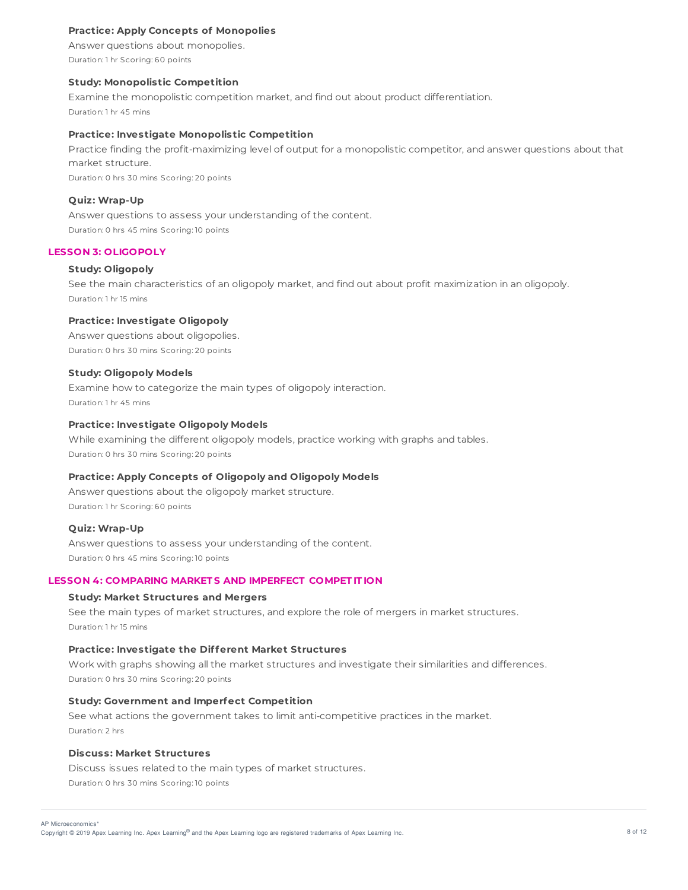# **Practice: Apply Concepts of Monopolies**

Answer questions about monopolies. Duration: 1 hr Scoring: 60 points

### **Study: Monopolistic Competition**

Examine the monopolistic competition market, and find out about product differentiation. Duration: 1 hr 45 mins

# **Practice: Investigate Monopolistic Competition**

Practice finding the profit-maximizing level of output for a monopolistic competitor, and answer questions about that market structure.

Duration: 0 hrs 30 mins Scoring: 20 points

#### **Quiz: Wrap-Up**

Answer questions to assess your understanding of the content. Duration: 0 hrs 45 mins Scoring: 10 points

### **LESSON 3: OLIGOPOLY**

### **Study: Oligopoly**

See the main characteristics of an oligopoly market, and find out about profit maximization in an oligopoly. Duration: 1 hr 15 mins

# **Practice: Investigate Oligopoly**

Answer questions about oligopolies. Duration: 0 hrs 30 mins Scoring: 20 points

#### **Study: Oligopoly Models**

Examine how to categorize the main types of oligopoly interaction. Duration: 1 hr 45 mins

# **Practice: Investigate Oligopoly Models**

While examining the different oligopoly models, practice working with graphs and tables. Duration: 0 hrs 30 mins Scoring: 20 points

# **Practice: Apply Concepts of Oligopoly and Oligopoly Models**

Answer questions about the oligopoly market structure. Duration: 1 hr Scoring: 60 points

#### **Quiz: Wrap-Up**

Answer questions to assess your understanding of the content. Duration: 0 hrs 45 mins Scoring: 10 points

# **LESSON 4: COMPARING MARKET S AND IMPERFECT COMPET IT ION**

#### **Study: Market Structures and Mergers**

See the main types of market structures, and explore the role of mergers in market structures. Duration: 1 hr 15 mins

### **Practice: Investigate the Different Market Structures**

Work with graphs showing all the market structures and investigate their similarities and differences. Duration: 0 hrs 30 mins Scoring: 20 points

#### **Study: Government and Imperfect Competition**

See what actions the government takes to limit anti-competitive practices in the market. Duration: 2 hrs

### **Discuss: Market Structures**

Discuss issues related to the main types of market structures. Duration: 0 hrs 30 mins Scoring: 10 points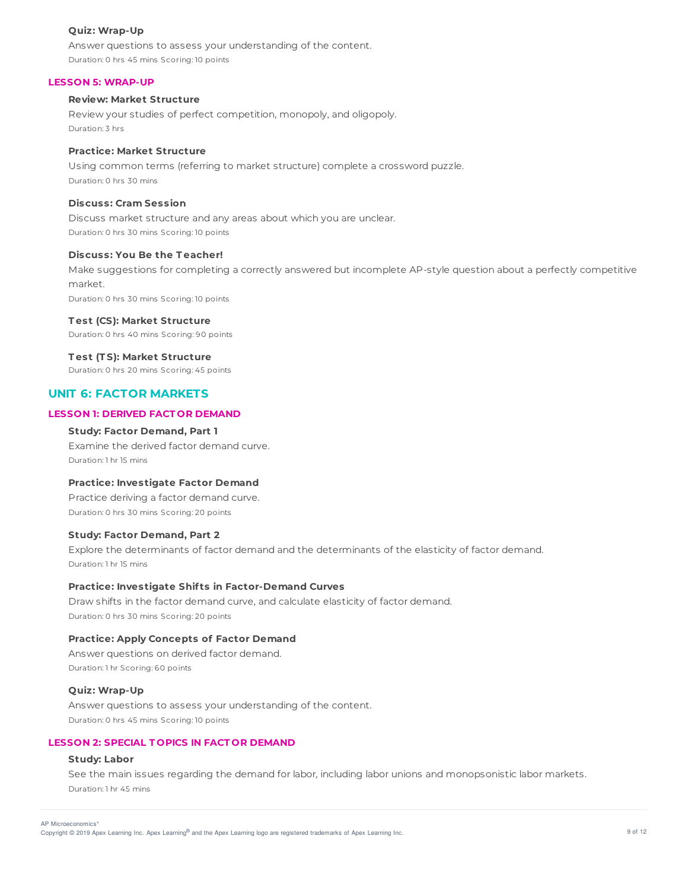### **Quiz: Wrap-Up**

Answer questions to assess your understanding of the content. Duration: 0 hrs 45 mins Scoring: 10 points

# **LESSON 5: WRAP-UP**

# **Review: Market Structure**

Review your studies of perfect competition, monopoly, and oligopoly. Duration: 3 hrs

# **Practice: Market Structure**

Using common terms (referring to market structure) complete a crossword puzzle. Duration: 0 hrs 30 mins

# **Discuss: Cram Session**

Discuss market structure and any areas about which you are unclear. Duration: 0 hrs 30 mins Scoring: 10 points

### **Discuss: You Be the T eacher!**

Make suggestions for completing a correctly answered but incomplete AP-style question about a perfectly competitive market.

Duration: 0 hrs 30 mins Scoring: 10 points

#### **T est (CS): Market Structure**

Duration: 0 hrs 40 mins Scoring: 90 points

#### **T est (T S): Market Structure**

Duration: 0 hrs 20 mins Scoring: 45 points

# **UNIT 6: FACTOR MARKETS**

# **LESSON 1: DERIVED FACT OR DEMAND**

# **Study: Factor Demand, Part 1**

Examine the derived factor demand curve. Duration: 1 hr 15 mins

# **Practice: Investigate Factor Demand**

Practice deriving a factor demand curve. Duration: 0 hrs 30 mins Scoring: 20 points

### **Study: Factor Demand, Part 2**

Explore the determinants of factor demand and the determinants of the elasticity of factor demand. Duration: 1 hr 15 mins

### **Practice: Investigate Shif ts in Factor-Demand Curves**

Draw shifts in the factor demand curve, and calculate elasticity of factor demand. Duration: 0 hrs 30 mins Scoring: 20 points

# **Practice: Apply Concepts of Factor Demand**

Answer questions on derived factor demand. Duration: 1 hr Scoring: 60 points

### **Quiz: Wrap-Up**

Answer questions to assess your understanding of the content. Duration: 0 hrs 45 mins Scoring: 10 points

# **LESSON 2: SPECIAL T OPICS IN FACT OR DEMAND**

# **Study: Labor**

See the main issues regarding the demand for labor, including labor unions and monopsonistic labor markets. Duration: 1 hr 45 mins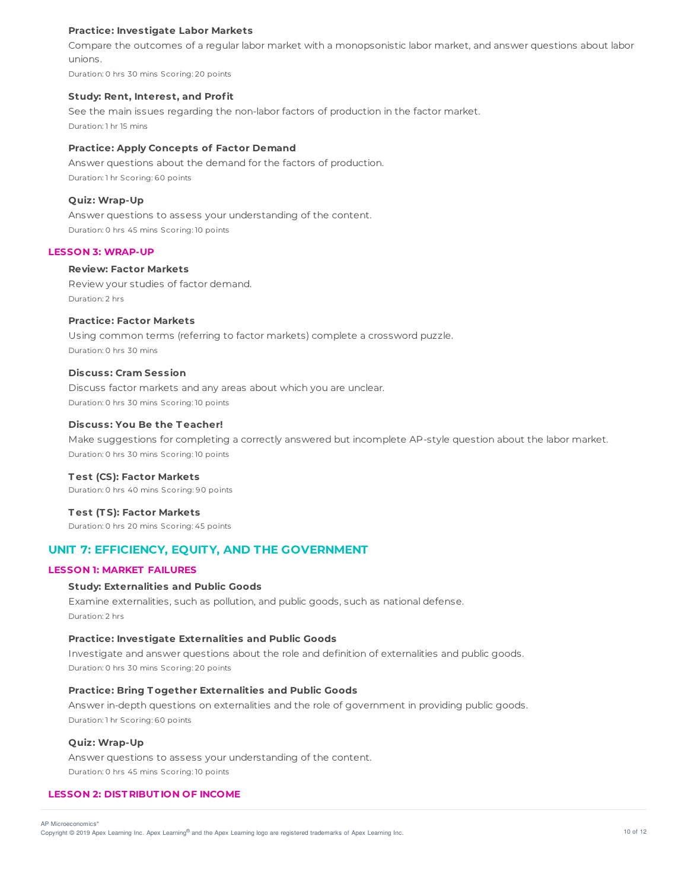# **Practice: Investigate Labor Markets**

Compare the outcomes of a regular labor market with a monopsonistic labor market, and answer questions about labor unions.

Duration: 0 hrs 30 mins Scoring: 20 points

### **Study: Rent, Interest, and Profit**

See the main issues regarding the non-labor factors of production in the factor market. Duration: 1 hr 15 mins

# **Practice: Apply Concepts of Factor Demand**

Answer questions about the demand for the factors of production. Duration: 1 hr Scoring: 60 points

#### **Quiz: Wrap-Up**

Answer questions to assess your understanding of the content. Duration: 0 hrs 45 mins Scoring: 10 points

### **LESSON 3: WRAP-UP**

# **Review: Factor Markets**

Review your studies of factor demand. Duration: 2 hrs

# **Practice: Factor Markets**

Using common terms (referring to factor markets) complete a crossword puzzle. Duration: 0 hrs 30 mins

### **Discuss: Cram Session**

Discuss factor markets and any areas about which you are unclear. Duration: 0 hrs 30 mins Scoring: 10 points

# **Discuss: You Be the T eacher!**

Make suggestions for completing a correctly answered but incomplete AP-style question about the labor market. Duration: 0 hrs 30 mins Scoring: 10 points

#### **T est (CS): Factor Markets**

Duration: 0 hrs 40 mins Scoring: 90 points

### **T est (T S): Factor Markets**

Duration: 0 hrs 20 mins Scoring: 45 points

# **UNIT 7: EFFICIENCY, EQUITY, AND THE GOVERNMENT**

### **LESSON 1: MARKET FAILURES**

# **Study: Externalities and Public Goods**

Examine externalities, such as pollution, and public goods, such as national defense. Duration: 2 hrs

### **Practice: Investigate Externalities and Public Goods**

Investigate and answer questions about the role and definition of externalities and public goods. Duration: 0 hrs 30 mins Scoring: 20 points

### **Practice: Bring T ogether Externalities and Public Goods**

Answer in-depth questions on externalities and the role of government in providing public goods. Duration: 1 hr Scoring: 60 points

# **Quiz: Wrap-Up**

Answer questions to assess your understanding of the content. Duration: 0 hrs 45 mins Scoring: 10 points

### **LESSON 2: DIST RIBUT ION OF INCOME**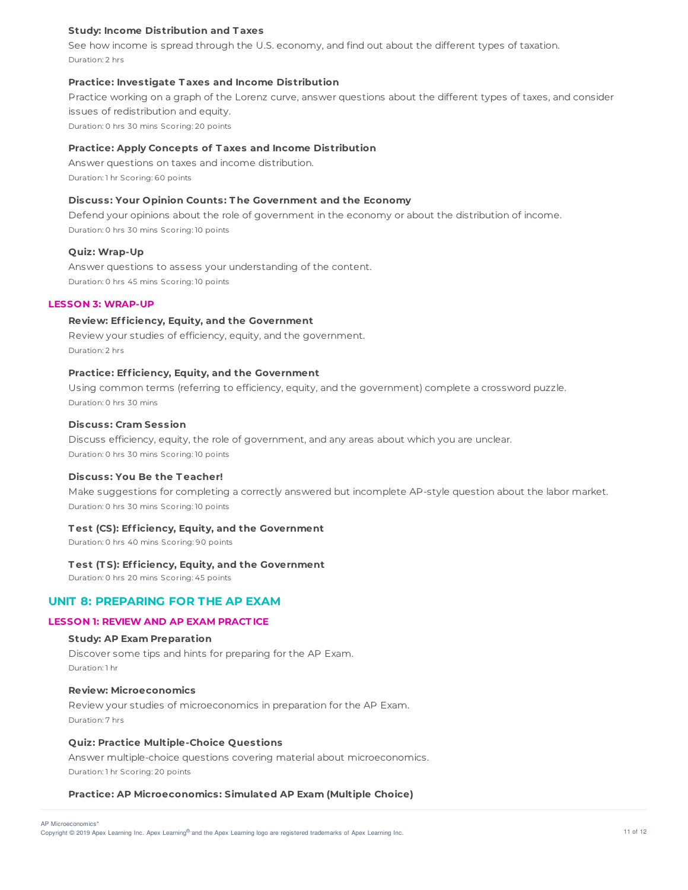# **Study: Income Distribution and T axes**

See how income is spread through the U.S. economy, and find out about the different types of taxation. Duration: 2 hrs

# **Practice: Investigate T axes and Income Distribution**

Practice working on a graph of the Lorenz curve, answer questions about the different types of taxes, and consider issues of redistribution and equity. Duration: 0 hrs 30 mins Scoring: 20 points

**Practice: Apply Concepts of T axes and Income Distribution**

Answer questions on taxes and income distribution. Duration: 1 hr Scoring: 60 points

# **Discuss: Your Opinion Counts: T he Government and the Economy**

Defend your opinions about the role of government in the economy or about the distribution of income. Duration: 0 hrs 30 mins Scoring: 10 points

# **Quiz: Wrap-Up**

Answer questions to assess your understanding of the content. Duration: 0 hrs 45 mins Scoring: 10 points

# **LESSON 3: WRAP-UP**

# **Review: Efficiency, Equity, and the Government**

Review your studies of efficiency, equity, and the government. Duration: 2 hrs

### **Practice: Efficiency, Equity, and the Government**

Using common terms (referring to efficiency, equity, and the government) complete a crossword puzzle. Duration: 0 hrs 30 mins

# **Discuss: Cram Session**

Discuss efficiency, equity, the role of government, and any areas about which you are unclear. Duration: 0 hrs 30 mins Scoring: 10 points

### **Discuss: You Be the T eacher!**

Make suggestions for completing a correctly answered but incomplete AP-style question about the labor market. Duration: 0 hrs 30 mins Scoring: 10 points

### **T est (CS): Efficiency, Equity, and the Government**

Duration: 0 hrs 40 mins Scoring: 90 points

# **T est (T S): Efficiency, Equity, and the Government**

Duration: 0 hrs 20 mins Scoring: 45 points

# **UNIT 8: PREPARING FOR THE AP EXAM**

### **LESSON 1: REVIEW AND AP EXAM PRACT ICE**

# **Study: AP Exam Preparation**

Discover some tips and hints for preparing for the AP Exam. Duration: 1 hr

# **Review: Microeconomics**

Review your studies of microeconomics in preparation for the AP Exam. Duration: 7 hrs

# **Quiz: Practice Multiple-Choice Questions**

Answer multiple-choice questions covering material about microeconomics. Duration: 1 hr Scoring: 20 points

### **Practice: AP Microeconomics: Simulated AP Exam (Multiple Choice)**